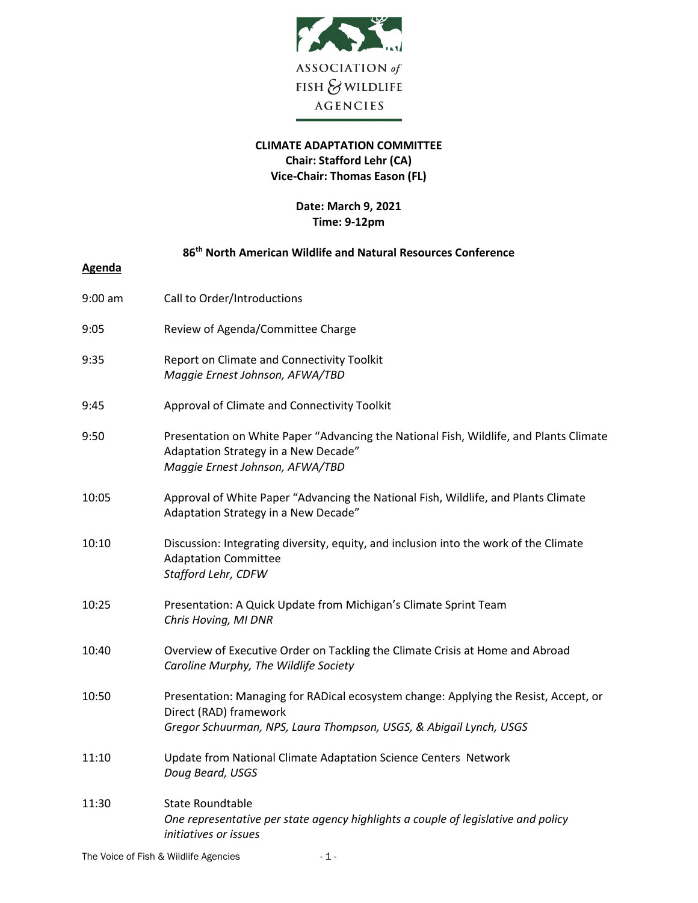

## **CLIMATE ADAPTATION COMMITTEE Chair: Stafford Lehr (CA) Vice-Chair: Thomas Eason (FL)**

## **Date: March 9, 2021 Time: 9-12pm**

## **86th North American Wildlife and Natural Resources Conference**

| <b>Agenda</b> |                                                                                                                                                                                      |
|---------------|--------------------------------------------------------------------------------------------------------------------------------------------------------------------------------------|
| $9:00$ am     | Call to Order/Introductions                                                                                                                                                          |
| 9:05          | Review of Agenda/Committee Charge                                                                                                                                                    |
| 9:35          | Report on Climate and Connectivity Toolkit<br>Maggie Ernest Johnson, AFWA/TBD                                                                                                        |
| 9:45          | Approval of Climate and Connectivity Toolkit                                                                                                                                         |
| 9:50          | Presentation on White Paper "Advancing the National Fish, Wildlife, and Plants Climate<br>Adaptation Strategy in a New Decade"<br>Maggie Ernest Johnson, AFWA/TBD                    |
| 10:05         | Approval of White Paper "Advancing the National Fish, Wildlife, and Plants Climate<br>Adaptation Strategy in a New Decade"                                                           |
| 10:10         | Discussion: Integrating diversity, equity, and inclusion into the work of the Climate<br><b>Adaptation Committee</b><br>Stafford Lehr, CDFW                                          |
| 10:25         | Presentation: A Quick Update from Michigan's Climate Sprint Team<br>Chris Hoving, MI DNR                                                                                             |
| 10:40         | Overview of Executive Order on Tackling the Climate Crisis at Home and Abroad<br>Caroline Murphy, The Wildlife Society                                                               |
| 10:50         | Presentation: Managing for RADical ecosystem change: Applying the Resist, Accept, or<br>Direct (RAD) framework<br>Gregor Schuurman, NPS, Laura Thompson, USGS, & Abigail Lynch, USGS |
| 11:10         | Update from National Climate Adaptation Science Centers Network<br>Doug Beard, USGS                                                                                                  |
| 11:30         | <b>State Roundtable</b><br>One representative per state agency highlights a couple of legislative and policy<br>initiatives or issues                                                |